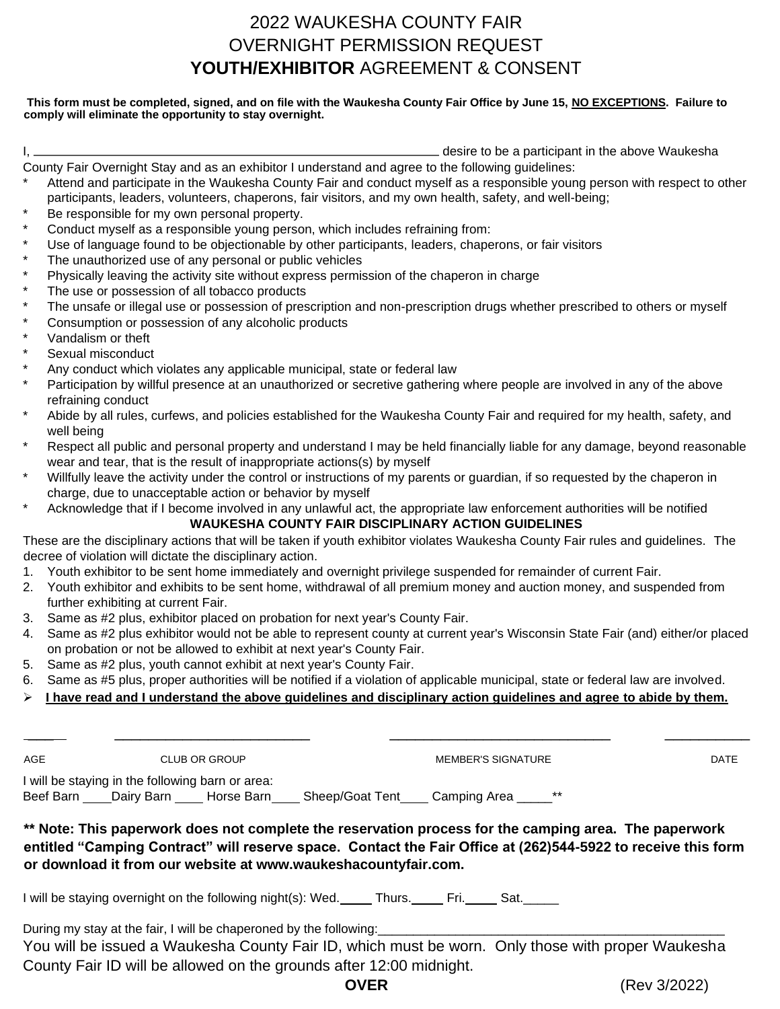## 2022 WAUKESHA COUNTY FAIR OVERNIGHT PERMISSION REQUEST **YOUTH/EXHIBITOR** AGREEMENT & CONSENT

## **This form must be completed, signed, and on file with the Waukesha County Fair Office by June 15, NO EXCEPTIONS. Failure to comply will eliminate the opportunity to stay overnight.**

| desire to be a participant in the above Waukesha                                                  |
|---------------------------------------------------------------------------------------------------|
| County Fair Overnight Stay and as an exhibitor Lunderstand and agree to the following quidelines: |

)vernight Stay and as an exhibitor I understand and agree to the following guidelines: Attend and participate in the Waukesha County Fair and conduct myself as a responsible young person with respect to other

- participants, leaders, volunteers, chaperons, fair visitors, and my own health, safety, and well-being;
- Be responsible for my own personal property.
- Conduct myself as a responsible young person, which includes refraining from:
- Use of language found to be objectionable by other participants, leaders, chaperons, or fair visitors
- The unauthorized use of any personal or public vehicles
- Physically leaving the activity site without express permission of the chaperon in charge
- The use or possession of all tobacco products
- The unsafe or illegal use or possession of prescription and non-prescription drugs whether prescribed to others or myself
- Consumption or possession of any alcoholic products
- Vandalism or theft
- Sexual misconduct
- Any conduct which violates any applicable municipal, state or federal law
- Participation by willful presence at an unauthorized or secretive gathering where people are involved in any of the above refraining conduct
- Abide by all rules, curfews, and policies established for the Waukesha County Fair and required for my health, safety, and well being
- Respect all public and personal property and understand I may be held financially liable for any damage, beyond reasonable wear and tear, that is the result of inappropriate actions(s) by myself
- Willfully leave the activity under the control or instructions of my parents or guardian, if so requested by the chaperon in charge, due to unacceptable action or behavior by myself
- Acknowledge that if I become involved in any unlawful act, the appropriate law enforcement authorities will be notified **WAUKESHA COUNTY FAIR DISCIPLINARY ACTION GUIDELINES**

These are the disciplinary actions that will be taken if youth exhibitor violates Waukesha County Fair rules and guidelines. The decree of violation will dictate the disciplinary action.

- 1. Youth exhibitor to be sent home immediately and overnight privilege suspended for remainder of current Fair.
- 2. Youth exhibitor and exhibits to be sent home, withdrawal of all premium money and auction money, and suspended from further exhibiting at current Fair.
- 3. Same as #2 plus, exhibitor placed on probation for next year's County Fair.
- 4. Same as #2 plus exhibitor would not be able to represent county at current year's Wisconsin State Fair (and) either/or placed on probation or not be allowed to exhibit at next year's County Fair.

\_\_\_ \_\_\_\_\_\_\_\_\_\_\_\_\_\_\_\_\_\_\_\_\_\_\_ \_\_\_\_\_\_\_\_\_\_\_\_\_\_\_\_\_\_\_\_\_\_\_\_\_\_ \_\_\_\_\_\_\_\_\_\_

- 5. Same as #2 plus, youth cannot exhibit at next year's County Fair.
- 6. Same as #5 plus, proper authorities will be notified if a violation of applicable municipal, state or federal law are involved.
- ➢ **I have read and I understand the above guidelines and disciplinary action guidelines and agree to abide by them.**

| AGE |                                                                                                                                                 | <b>CLUB OR GROUP</b> |  | <b>MEMBER'S SIGNATURE</b> |  | <b>DATE</b>                                                                                                                                                                                                            |
|-----|-------------------------------------------------------------------------------------------------------------------------------------------------|----------------------|--|---------------------------|--|------------------------------------------------------------------------------------------------------------------------------------------------------------------------------------------------------------------------|
|     | I will be staying in the following barn or area:<br>Beef Barn ____Dairy Barn _____ Horse Barn _____ Sheep/Goat Tent _____ Camping Area ______** |                      |  |                           |  |                                                                                                                                                                                                                        |
|     | or download it from our website at www.waukeshacountyfair.com.                                                                                  |                      |  |                           |  | ** Note: This paperwork does not complete the reservation process for the camping area. The paperwork<br>entitled "Camping Contract" will reserve space. Contact the Fair Office at (262)544-5922 to receive this form |
|     | I will be staying overnight on the following night(s): Wed. Thurs. Fri. Stat. Stat.                                                             |                      |  |                           |  |                                                                                                                                                                                                                        |
|     | During my stay at the fair, I will be chaperoned by the following:<br>County Fair ID will be allowed on the grounds after 12:00 midnight.       |                      |  |                           |  | You will be issued a Waukesha County Fair ID, which must be worn. Only those with proper Waukesha                                                                                                                      |

**OVER** (Rev 3/2022)